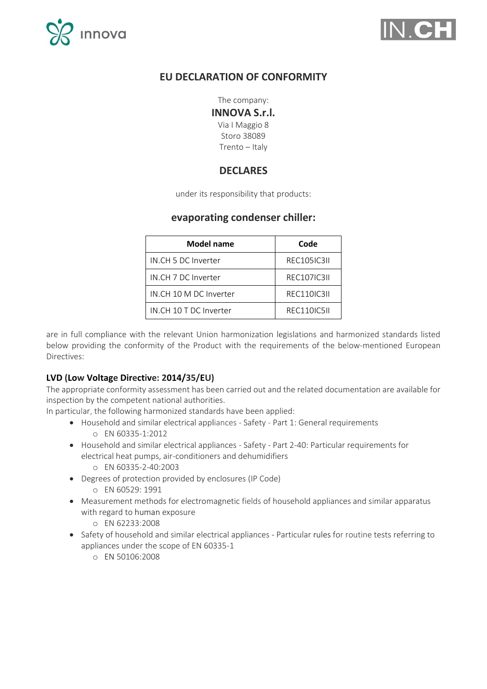



# **EU DECLARATION OF CONFORMITY**

The company:

#### **INNOVA S.r.l.**

Via I Maggio 8 Storo 38089 Trento – Italy

## **DECLARES**

under its responsibility that products:

## **evaporating condenser chiller:**

| <b>Model name</b>      | Code               |
|------------------------|--------------------|
| IN.CH 5 DC Inverter    | <b>REC105IC3II</b> |
| IN.CH 7 DC Inverter    | <b>REC107IC3II</b> |
| IN.CH 10 M DC Inverter | <b>REC110IC3II</b> |
| IN.CH 10 T DC Inverter | REC110IC5II        |

are in full compliance with the relevant Union harmonization legislations and harmonized standards listed below providing the conformity of the Product with the requirements of the below-mentioned European Directives:

### **LVD (Low Voltage Directive: 2014/35/EU)**

The appropriate conformity assessment has been carried out and the related documentation are available for inspection by the competent national authorities.

In particular, the following harmonized standards have been applied:

- Household and similar electrical appliances Safety Part 1: General requirements o EN 60335-1:2012
- Household and similar electrical appliances Safety Part 2-40: Particular requirements for electrical heat pumps, air-conditioners and dehumidifiers
	- o EN 60335-2-40:2003
- Degrees of protection provided by enclosures (IP Code)
	- o EN 60529: 1991
- Measurement methods for electromagnetic fields of household appliances and similar apparatus with regard to human exposure
	- o EN 62233:2008
- Safety of household and similar electrical appliances Particular rules for routine tests referring to appliances under the scope of EN 60335-1
	- o EN 50106:2008